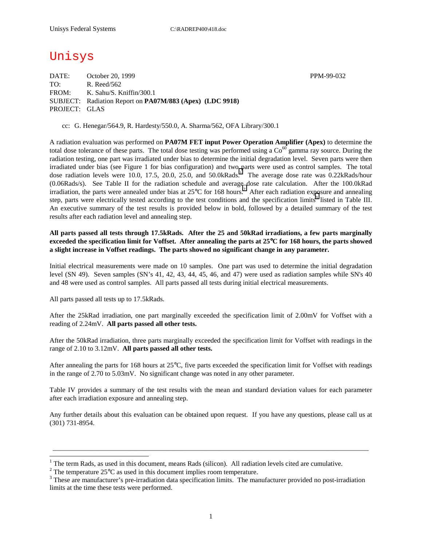# Unisys

DATE: October 20, 1999 PPM-99-032 TO: R. Reed/562 FROM: K. Sahu/S. Kniffin/300.1 SUBJECT: Radiation Report on **PA07M/883 (Apex) (LDC 9918)** PROJECT: GLAS

cc: G. Henegar/564.9, R. Hardesty/550.0, A. Sharma/562, OFA Library/300.1

A radiation evaluation was performed on **PA07M FET input Power Operation Amplifier (Apex)** to determine the total dose tolerance of these parts. The total dose testing was performed using a  $\text{Co}^{60}$  gamma ray source. During the radiation testing, one part was irradiated under bias to determine the initial degradation level. Seven parts were then irradiated under bias (see Figure 1 for bias configuration) and two parts were used as control samples. The total dose radiation levels were 10.0, 17.5, 20.0, 25.0, and 50.0kRads.<sup>1</sup> The average dose rate was 0.22kRads/hour (0.06Rads/s). See Table II for the radiation schedule and average dose rate calculation. After the 100.0kRad irradiation, the parts were annealed under bias at  $25^{\circ}$ C for 168 hours.<sup>2</sup> After each radiation exposure and annealing step, parts were electrically tested according to the test conditions and the specification limits<sup>3</sup> listed in Table III. An executive summary of the test results is provided below in bold, followed by a detailed summary of the test results after each radiation level and annealing step.

### **All parts passed all tests through 17.5kRads. After the 25 and 50kRad irradiations, a few parts marginally exceeded the specification limit for Voffset. After annealing the parts at 25**°**C for 168 hours, the parts showed a slight increase in Voffset readings. The parts showed no significant change in any parameter.**

Initial electrical measurements were made on 10 samples. One part was used to determine the initial degradation level (SN 49). Seven samples (SN's 41, 42, 43, 44, 45, 46, and 47) were used as radiation samples while SN's 40 and 48 were used as control samples. All parts passed all tests during initial electrical measurements.

All parts passed all tests up to 17.5kRads.

 $\overline{a}$ 

After the 25kRad irradiation, one part marginally exceeded the specification limit of 2.00mV for Voffset with a reading of 2.24mV. **All parts passed all other tests.**

After the 50kRad irradiation, three parts marginally exceeded the specification limit for Voffset with readings in the range of 2.10 to 3.12mV. **All parts passed all other tests.**

After annealing the parts for 168 hours at 25°C, five parts exceeded the specification limit for Voffset with readings in the range of 2.70 to 5.03mV. No significant change was noted in any other parameter.

Table IV provides a summary of the test results with the mean and standard deviation values for each parameter after each irradiation exposure and annealing step.

Any further details about this evaluation can be obtained upon request. If you have any questions, please call us at (301) 731-8954.

\_\_\_\_\_\_\_\_\_\_\_\_\_\_\_\_\_\_\_\_\_\_\_\_\_\_\_\_\_\_\_\_\_\_\_\_\_\_\_\_\_\_\_\_\_\_\_\_\_\_\_\_\_\_\_\_\_\_\_\_\_\_\_\_\_\_\_\_\_\_\_\_\_\_\_\_\_\_\_\_\_\_\_\_\_\_\_\_\_\_\_

<sup>&</sup>lt;sup>1</sup> The term Rads, as used in this document, means Rads (silicon). All radiation levels cited are cumulative.

<sup>&</sup>lt;sup>2</sup> The temperature 25 $^{\circ}$ C as used in this document implies room temperature.  $^3$  These are manufacturer's are irrediction date apositionism limits. The manufacturer's

<sup>&</sup>lt;sup>3</sup> These are manufacturer's pre-irradiation data specification limits. The manufacturer provided no post-irradiation limits at the time these tests were performed.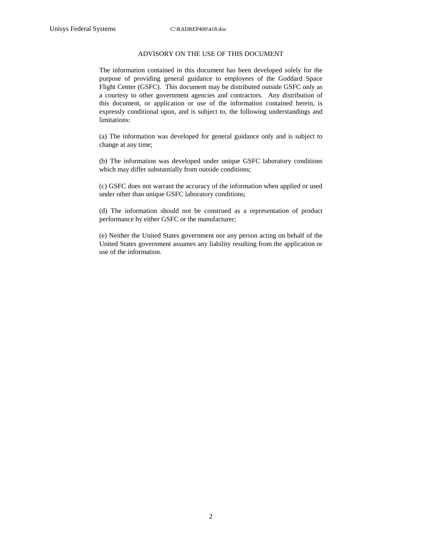#### ADVISORY ON THE USE OF THIS DOCUMENT

The information contained in this document has been developed solely for the purpose of providing general guidance to employees of the Goddard Space Flight Center (GSFC). This document may be distributed outside GSFC only as a courtesy to other government agencies and contractors. Any distribution of this document, or application or use of the information contained herein, is expressly conditional upon, and is subject to, the following understandings and limitations:

(a) The information was developed for general guidance only and is subject to change at any time;

(b) The information was developed under unique GSFC laboratory conditions which may differ substantially from outside conditions;

(c) GSFC does not warrant the accuracy of the information when applied or used under other than unique GSFC laboratory conditions;

(d) The information should not be construed as a representation of product performance by either GSFC or the manufacturer;

(e) Neither the United States government nor any person acting on behalf of the United States government assumes any liability resulting from the application or use of the information.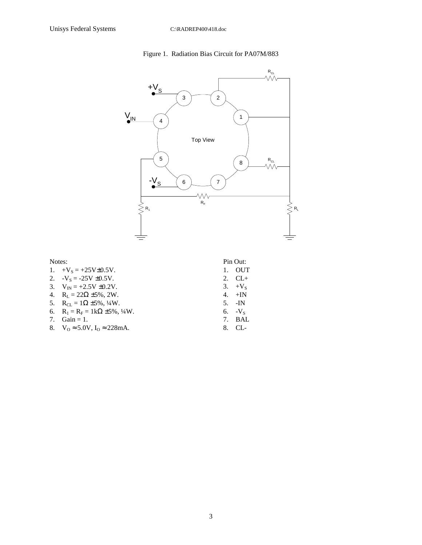## Figure 1. Radiation Bias Circuit for PA07M/883



| 1. $+V_s = +25V \pm 0.5V$ .                       | 1. OUT         |
|---------------------------------------------------|----------------|
| 2. $-V_s = -25V \pm 0.5V$ .                       | 2. $CL+$       |
| 3. $V_{IN} = +2.5V \pm 0.2V$ .                    | 3. $+V_s$      |
| 4. $R_1 = 22\Omega \pm 5\%, 2W$ .                 | 4. $+IN$       |
| 5. $R_{CI} = 1\Omega \pm 5\%, \frac{1}{4}W$ .     | $5. \quad$ -IN |
| 6. $R_1 = R_F = 1k\Omega \pm 5\%, \frac{1}{4}W$ . | $6. V_s$       |
| 7. $Gain = 1$ .                                   | 7. BAL         |
| 8. $V_0 \approx 5.0 V$ , $I_0 \approx 228$ mA.    | 8. CL-         |

3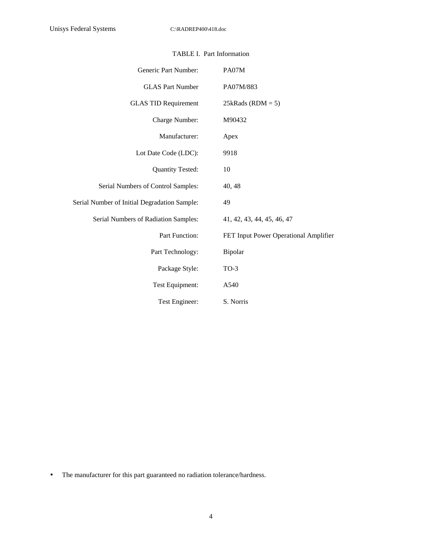| Generic Part Number:                         | PA07M                                 |
|----------------------------------------------|---------------------------------------|
| <b>GLAS Part Number</b>                      | PA07M/883                             |
| <b>GLAS TID Requirement</b>                  | $25kRads (RDM = 5)$                   |
| Charge Number:                               | M90432                                |
| Manufacturer:                                | Apex                                  |
| Lot Date Code (LDC):                         | 9918                                  |
| <b>Quantity Tested:</b>                      | 10                                    |
| Serial Numbers of Control Samples:           | 40, 48                                |
| Serial Number of Initial Degradation Sample: | 49                                    |
| Serial Numbers of Radiation Samples:         | 41, 42, 43, 44, 45, 46, 47            |
| Part Function:                               | FET Input Power Operational Amplifier |
| Part Technology:                             | Bipolar                               |
| Package Style:                               | $TO-3$                                |
| Test Equipment:                              | A540                                  |
| Test Engineer:                               | S. Norris                             |

### TABLE I. Part Information

• The manufacturer for this part guaranteed no radiation tolerance/hardness.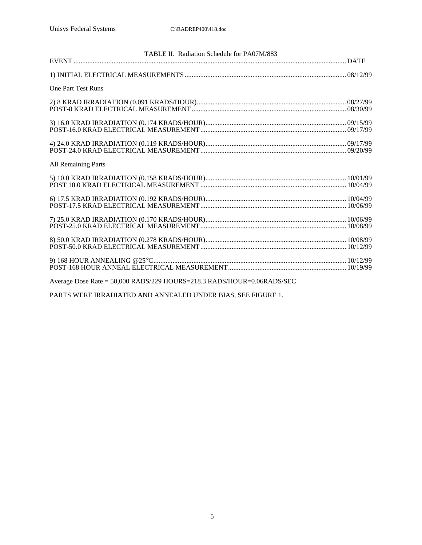|                                                                        | TABLE II. Radiation Schedule for PA07M/883 |
|------------------------------------------------------------------------|--------------------------------------------|
|                                                                        |                                            |
|                                                                        |                                            |
| <b>One Part Test Runs</b>                                              |                                            |
|                                                                        |                                            |
|                                                                        |                                            |
|                                                                        |                                            |
|                                                                        |                                            |
| <b>All Remaining Parts</b>                                             |                                            |
|                                                                        |                                            |
|                                                                        |                                            |
|                                                                        |                                            |
|                                                                        |                                            |
|                                                                        |                                            |
| Average Dose Rate = 50,000 RADS/229 HOURS=218.3 RADS/HOUR=0.06RADS/SEC |                                            |

PARTS WERE IRRADIATED AND ANNEALED UNDER BIAS, SEE FIGURE 1.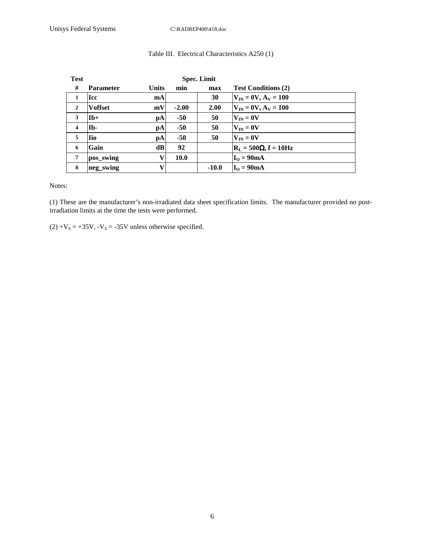| <b>Test</b>             |                  |              | <b>Spec. Limit</b> |         |                                                   |
|-------------------------|------------------|--------------|--------------------|---------|---------------------------------------------------|
| #                       | <b>Parameter</b> | <b>Units</b> | min                | max     | <b>Test Conditions (2)</b>                        |
| 1                       | Icc              | mA           |                    | 30      | $V_{IN} = 0V, A_V = 100$                          |
| $\mathbf{2}$            | <b>Voffset</b>   | mV           | $-2.00$            | 2.00    | $V_{IN} = 0V, A_V = 100$                          |
| 3                       | $Ib+$            | pA           | $-50$              | 50      | $V_{IN} = 0V$                                     |
| $\overline{\mathbf{4}}$ | Ib-              | рA           | $-50$              | 50      | $V_{IN} = 0V$                                     |
| 5                       | <b>Iio</b>       | pA           | $-50$              | 50      | $V_{IN} = 0V$                                     |
| 6                       | Gain             | dB           | 92                 |         | $\mathbf{R}_{\text{L}}$ = 500 $\Omega$ , f = 10Hz |
| 7                       | pos_swing        | V            | 10.0               |         | $IO$ = 90mA                                       |
| 8                       | neg_swing        | V            |                    | $-10.0$ | $IO$ = 90mA                                       |

## Table III. Electrical Characteristics A250 (1)

Notes:

(1) These are the manufacturer's non-irradiated data sheet specification limits. The manufacturer provided no postirradiation limits at the time the tests were performed.

 $(2) +V_s = +35V$ ,  $-V_s = -35V$  unless otherwise specified.